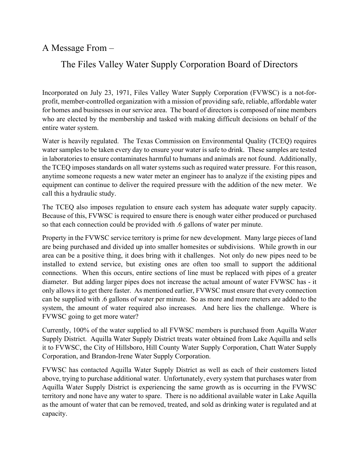A Message From –

## The Files Valley Water Supply Corporation Board of Directors

Incorporated on July 23, 1971, Files Valley Water Supply Corporation (FVWSC) is a not-forprofit, member-controlled organization with a mission of providing safe, reliable, affordable water for homes and businesses in our service area. The board of directors is composed of nine members who are elected by the membership and tasked with making difficult decisions on behalf of the entire water system.

Water is heavily regulated. The Texas Commission on Environmental Quality (TCEQ) requires water samples to be taken every day to ensure your water is safe to drink. These samples are tested in laboratories to ensure contaminates harmful to humans and animals are not found. Additionally, the TCEQ imposes standards on all water systems such as required water pressure. For this reason, anytime someone requests a new water meter an engineer has to analyze if the existing pipes and equipment can continue to deliver the required pressure with the addition of the new meter. We call this a hydraulic study.

The TCEQ also imposes regulation to ensure each system has adequate water supply capacity. Because of this, FVWSC is required to ensure there is enough water either produced or purchased so that each connection could be provided with .6 gallons of water per minute.

Property in the FVWSC service territory is prime for new development. Many large pieces of land are being purchased and divided up into smaller homesites or subdivisions. While growth in our area can be a positive thing, it does bring with it challenges. Not only do new pipes need to be installed to extend service, but existing ones are often too small to support the additional connections. When this occurs, entire sections of line must be replaced with pipes of a greater diameter. But adding larger pipes does not increase the actual amount of water FVWSC has - it only allows it to get there faster. As mentioned earlier, FVWSC must ensure that every connection can be supplied with .6 gallons of water per minute. So as more and more meters are added to the system, the amount of water required also increases. And here lies the challenge. Where is FVWSC going to get more water?

Currently, 100% of the water supplied to all FVWSC members is purchased from Aquilla Water Supply District. Aquilla Water Supply District treats water obtained from Lake Aquilla and sells it to FVWSC, the City of Hillsboro, Hill County Water Supply Corporation, Chatt Water Supply Corporation, and Brandon-Irene Water Supply Corporation.

FVWSC has contacted Aquilla Water Supply District as well as each of their customers listed above, trying to purchase additional water. Unfortunately, every system that purchases water from Aquilla Water Supply District is experiencing the same growth as is occurring in the FVWSC territory and none have any water to spare. There is no additional available water in Lake Aquilla as the amount of water that can be removed, treated, and sold as drinking water is regulated and at capacity.